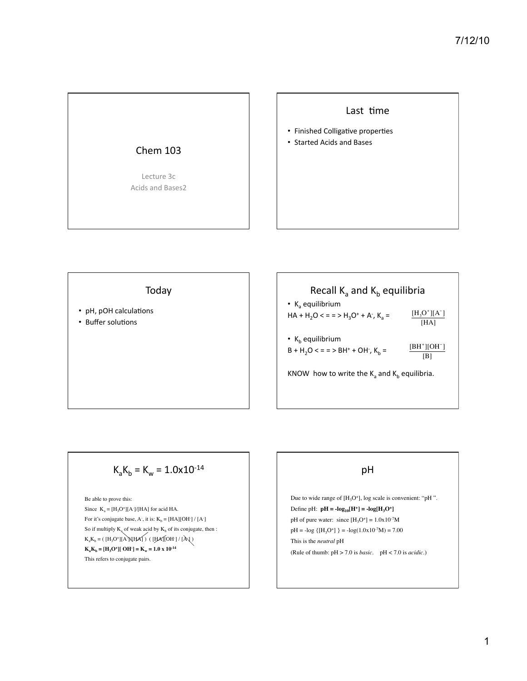

#### Last time

- Finished Colligative properties
- Started Acids and Bases

Today

- pH, pOH calculations
- Buffer solutions

| Recall $K_a$ and $K_b$ equilibria                 |                         |
|---------------------------------------------------|-------------------------|
| • $K_a$ equilibrium                               |                         |
| $HA + H_2O < z =$ > $H_3O^+ + A^2$ , $K_a =$      | $[H_3O^*][A^-]$<br>[HA] |
| • $K_h$ equilibrium                               | $[BH^*][OH^-]$          |
| $B + H2O < z = 5 H+ + OH-$ , K <sub>h</sub> =     | [B]                     |
| KNOW how to write the $K_a$ and $K_b$ equilibria. |                         |

# $K_aK_b = K_w = 1.0x10^{-14}$

Be able to prove this: Since  $K_a = [H_3O^+] [A^2] / [HA]$  for acid HA. For it's conjugate base, A , it is:  $K_b = [HA][OH^-] / [A^-]$ So if multiply  $K_a$  of weak acid by  $K_b$  of its conjugate, then :  $K_aK_b = ( [H_3O^+][A^*NHA] ) ( [HA][OH^-]/ [A])$  $K_a K_b = [H_3 O^+][OH^-] = K_w = 1.0 \times 10^{-14}$ This refers to conjugate pairs.

# pH

Due to wide range of  $[H_3O^+]$ , log scale is convenient: "pH". Define pH:  $pH = -log_{10}[H^+] = -log[H_3O^+]$ pH of pure water: since  $[H_3O^+] = 1.0x10^{-7}M$  $pH = -log { [H<sub>3</sub>O<sup>+</sup>] } = -log(1.0x10<sup>-7</sup>M) = 7.00$ This is the *neutral* pH (Rule of thumb: pH > 7.0 is *basic*. pH < 7.0 is *acidic*.)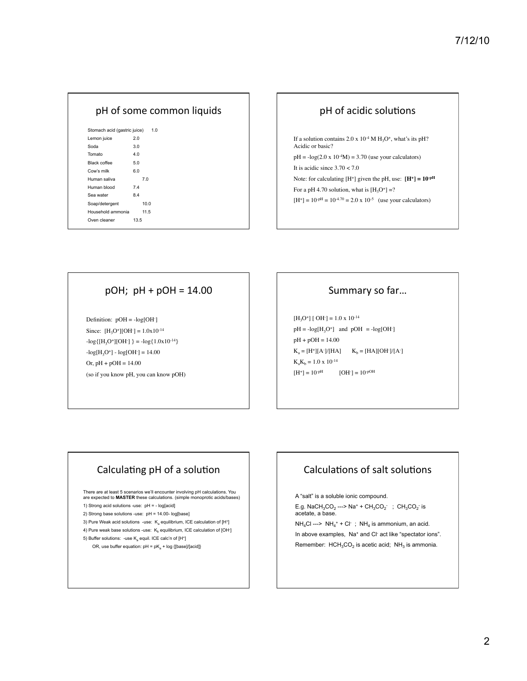| pH of some common liquids    |      |
|------------------------------|------|
| Stomach acid (gastric juice) | 1.0  |
| Lemon juice                  | 2.0  |
| Soda                         | 3.0  |
| Tomato                       | 4.0  |
| Black coffee                 | 5.0  |
| Cow's milk                   | 6.0  |
| Human saliva                 | 7.0  |
| Human blood                  | 7.4  |
| Sea water                    | 8.4  |
| Soap/detergent               | 10.0 |
| Household ammonia            | 11.5 |
| Oven cleaner                 | 13.5 |
|                              |      |

#### pH of acidic solutions

If a solution contains 2.0 x  $10<sup>-4</sup> M H<sub>3</sub>O<sup>+</sup>$ , what's its pH? Acidic or basic?

 $pH = -log(2.0 \times 10^{-4}M) = 3.70$  (use your calculators) It is acidic since  $3.70 < 7.0$ 

Note: for calculating  $[H^+]$  given the pH, use:  $[H^+] = 10^{-pH}$ 

For a pH 4.70 solution, what is  $[H_3O^+] = ?$ 

 $[H^+] = 10^{-pH} = 10^{-4.70} = 2.0 \text{ x } 10^{-5}$  (use your calculators)

#### $pOH$ ;  $pH + pOH = 14.00$

Definition:  $pOH = -log[OH^{-}]$ Since:  $[H_3O^+][OH^-] = 1.0 \times 10^{-14}$  $-log{[H<sub>3</sub>O<sup>+</sup>][OH<sup>-</sup>]} = -log{1.0x10<sup>-14</sup>}$  $-log[H_3O^+] - log[OH^-] = 14.00$ Or,  $pH + pOH = 14.00$ (so if you know pH, you can know pOH)

#### Summary so far...

 $[H_3O^+]$  [ OH ] = 1.0 x 10<sup>-14</sup>  $pH = -log[H_3O^+]$  and  $pOH = -log[OH^-]$ pH + pOH = 14.00  $K_a = [H^*][A^-]/[HA]$   $K_b = [HA][OH^-]/[A^-]$  $K_aK_b = 1.0 \times 10^{-14}$  $[H^+] = 10^{-pH}$  $[OH^-] = 10^{-pOH}$ 

## Calculating pH of a solution

There are at least 5 scenarios we'll encounter involving pH calculations. You are expected to **MASTER** these calculations. (simple monoprotic acids/bases)

1) Strong acid solutions -use: pH = - log[acid]

2) Strong base solutions -use: pH = 14.00- log[base]

- 3) Pure Weak acid solutions -use:  $K_a$  equilibrium, ICE calculation of  $[H^+]$
- 4) Pure weak base solutions -use:  $K_b$  equilibrium, ICE calculation of [OH-]
- 5) Buffer solutions: -use  $K<sub>a</sub>$  equil. ICE calc'n of  $[H^+]$ 
	- OR, use buffer equation:  $pH = pK_a + log {[base]/[acid]}\}$

# Calculations of salt solutions

A "salt" is a soluble ionic compound.

E.g. NaCH<sub>3</sub>CO<sub>2</sub> ---> Na<sup>+</sup> + CH<sub>3</sub>CO<sub>2</sub> ; CH<sub>3</sub>CO<sub>2</sub> is acetate, a base.

 $NH_4Cl$  --->  $NH_4$ <sup>+</sup> + Cl ;  $NH_4$  is ammonium, an acid. In above examples, Na<sup>+</sup> and Cl<sup>-</sup> act like "spectator ions". Remember:  $HCH<sub>3</sub>CO<sub>2</sub>$  is acetic acid;  $NH<sub>3</sub>$  is ammonia.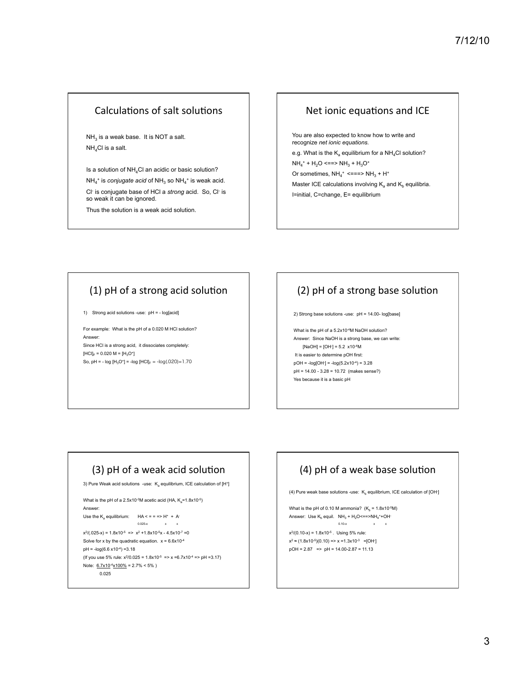## Calculations of salt solutions

 $NH<sub>3</sub>$  is a weak base. It is NOT a salt. NH4Cl is a salt.

Is a solution of  $NH_4Cl$  an acidic or basic solution?  $NH_4^+$  is *conjugate acid* of  $NH_3$  so  $NH_4^+$  is weak acid. Cl- is conjugate base of HCl a *strong* acid. So, Cl- is so weak it can be ignored.

Thus the solution is a weak acid solution.

#### Net ionic equations and ICE

You are also expected to know how to write and recognize *net ionic equations.*  e.g. What is the  $K_a$  equilibrium for a NH<sub>4</sub>Cl solution?  $NH_4$ <sup>+</sup> + H<sub>2</sub>O <==>  $NH_3$  + H<sub>3</sub>O<sup>+</sup> Or sometimes,  $NH_4^+$  <===>  $NH_3 + H^+$ Master ICE calculations involving  $K_a$  and  $K_b$  equilibria. I=initial, C=change, E= equilibrium

# $(1)$  pH of a strong acid solution

1) Strong acid solutions -use: pH = - log[acid]

For example: What is the pH of a 0.020 M HCl solution? Answer: Since HCl is a strong acid, it dissociates completely:  $[HCI]_F = 0.020 M = [H_3O^+]$ So, pH = -  $log [H_3O^+]$  = - $log [HCI]_F$  = - $log(.020)$ =1.70

# $(2)$  pH of a strong base solution

2) Strong base solutions -use: pH = 14.00- log[base]

What is the pH of a 5.2x10<sup>-4</sup>M NaOH solution? Answer: Since NaOH is a strong base, we can write: [NaOH] = [OH- ] = 5.2 x10-4M It is easier to determine pOH first: pOH = -log[OH- ] = -log(5.2x10-4) = 3.28 pH = 14.00 - 3.28 = 10.72 (makes sense?) Yes because it is a basic pH

# $(3)$  pH of a weak acid solution

3) Pure Weak acid solutions -use:  $K_a$  equilibrium, ICE calculation of  $[H^*]$ 

What is the pH of a  $2.5x10^{-3}M$  acetic acid (HA,  $K_a$ =1.8x10<sup>-5</sup>) Answer:

Use the K<sub>a</sub> equilibrium:  $HA \leq x = 2 + H^+ + A^-$ 0.025-x x x

 $x^{2}/(.025-x) = 1.8x10^{-5} \Rightarrow x^{2} + 1.8x10^{-5}x - 4.5x10^{-7} = 0$ Solve for x by the quadratic equation.  $x = 6.6x10^{-4}$  $pH = -log(6.6 \times 10^{-4}) = 3.18$ (If you use 5% rule:  $x^2/0.025 = 1.8x10^{-5}$  =>  $x = 6.7x10^{-4}$  => pH =3.17) Note:  $6.7x10^{-4}x100\% = 2.7\% < 5\%$ ) 0.025

# $(4)$  pH of a weak base solution

(4) Pure weak base solutions -use:  $\mathsf{K}_{\text{b}}$  equilibrium, ICE calculation of [OH-]

What is the pH of 0.10 M ammonia?  $(K_b = 1.8 \times 10^{-5}M)$ Answer: Use  $\mathsf{K}_{\textsf{b}}$  equil.  $\mathsf{NH}_3$  +  $\mathsf{H}_2\mathsf{O}\leq$  = =>NH<sub>4</sub>++OH  $0.10-x$  x x

 $x^{2}/(0.10-x) = 1.8x10^{-5}$ . Using 5% rule:  $x^2 \approx (1.8x10^{-5})(0.10) \approx x \approx 1.3x10^{-3} = [OH^{-}]$ pOH = 2.87 => pH = 14.00-2.87 = 11.13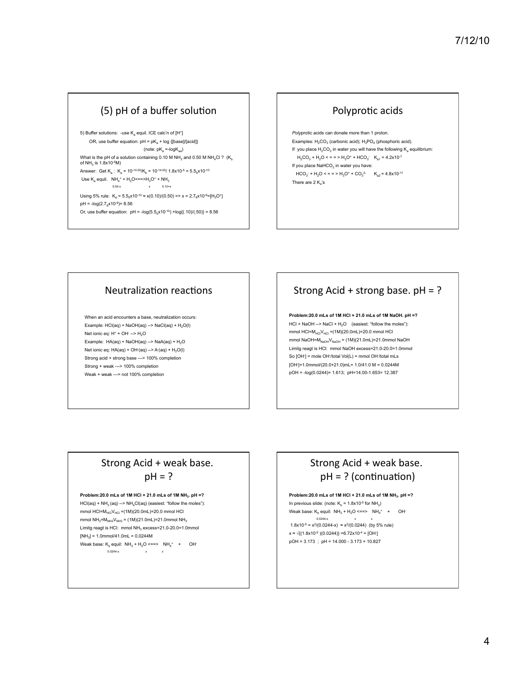## $(5)$  pH of a buffer solution

5) Buffer solutions: -use  $\mathsf{K}_\mathsf{a}$  equil. ICE calc'n of [H<sup>+</sup>] OR, use buffer equation:  $pH = pK<sub>a</sub> + log {[base]/[acid]}$ (note:  $pK_a = log K_{aa}$ ) What is the pH of a solution containing 0.10 M NH<sub>3</sub> and 0.50 M NH<sub>4</sub>Cl ? (K<sub>b</sub> of  $NH_3$  is 1.8x10-5M) Answer: Get  $K_a$ :  $K_a = 10^{-14.00} / K_b = 10^{-14.00} / 1.8 \times 10^{-5} = 5.5 \times 10^{-10}$ Use  $K_a$  equil.  $NH_4$ <sup>+</sup> + H<sub>2</sub>O <==>H<sub>3</sub>O<sup>+</sup> + NH<sub>3</sub> 0.50-x  $x = 0.10+x$ Using 5% rule:  $K_a = 5.5_5 \times 10^{-10} \approx x(0.10)/(0.50) \Rightarrow x = 2.7_8 \times 10^{-9} = [H_3O^+]$  $pH = -log(2.7_8 \times 10^{-9}) = 8.56$ Or, use buffer equation:  $pH = -log(5.5_x \times 10^{-10}) + log(1.10)/(0.50) = 8.56$ 

## Polyprotic acids

*Poly*protic acids can donate more than 1 proton. Examples:  $H_2CO_3$  (carbonic acid);  $H_3PO_4$  (phosphoric acid). If you place  $H_2CO_3$  in water you will have the following  $K_a$  equilibrium:  $H_2CO_3 + H_2O \le m = H_3O^+ + HCO_3$   $K_{a1} = 4.2 \times 10^{-7}$ If you place  $\text{NaHCO}_3$  in water you have:  $HCO_3^- + H_2O \leq R = P H_3O^+ + CO_3^2$   $K_{a2} = 4.8 \times 10^{-11}$ There are  $2 K_a$ 's

#### Neutralization reactions

When an acid encounters a base, neutralization occurs: Example:  $HCI(aq) + NaOH(aq) - > NaCl(aq) + H<sub>2</sub>O(1)$ Net ionic eq: H<sup>+</sup> + OH<sup>-</sup> --> H<sub>2</sub>O Example:  $HA(aq) + NaOH(aq)$  -->  $NaA(aq) + H<sub>2</sub>O$ Net ionic eq:  $HA(aq) + OH(aq) \rightarrow A(aq) + H_2O(l)$ Strong acid + strong base ---> 100% completion Strong + weak ---> 100% completion Weak + weak ---> not 100% completion

# Strong Acid + strong base.  $pH = ?$

**Problem:20.0 mLs of 1M HCl + 21.0 mLs of 1M NaOH. pH =?**  $HCI + NaOH \rightarrow NaCl + H<sub>2</sub>O$  (easiest: "follow the moles"): mmol  $HC = M_{HCI}V_{HCI} = (1M)(20.0mL) = 20.0$  mmol HCl mmol NaOH= $M_{NaOH}V_{NaOH}$  = (1M)(21.0mL)=21.0mmol NaOH Limitg reagt is HCl: mmol NaOH excess=21.0-20.0=1.0mmol So [OH<sup>-</sup>] = mole OH<sup>-</sup>/total Vol(L) = mmol OH<sup>-</sup>/total mLs [OH- ]=1.0mmol/(20.0+21.0)mL= 1.0/41.0 M = 0.0244M pOH = -log(0.0244)= 1.613; pH=14.00-1.653= 12.387

## Strong Acid + weak base.  $ph = ?$

#### **Problem:20.0 mLs of 1M HCl + 21.0 mLs of 1M NH3. pH =?**

 $HCl(aq) + NH<sub>3</sub>(aq) \rightarrow NH<sub>4</sub>Cl(aq)$  (easiest: "follow the moles"): mmol  $HCI = M_{HCi}V_{HCI} = (1M)(20.0mL) = 20.0$  mmol HCl mmol NH<sub>3</sub>=M<sub>NH3</sub>V<sub>NH3</sub> = (1M)(21.0mL)=21.0mmol NH<sub>3</sub> Limitg reagt is HCI: mmol NH<sub>2</sub> excess=21.0-20.0=1.0mmol  $[NH_3] = 1.0$ mmol/41.0mL = 0.0244M Weak base:  $K_b$  equil:  $NH_3 + H_2O \leq 2.2$   $NH_4$  + OH 0.0244-x  $x$  x

## Strong Acid + weak base.  $pH = ?$  (continuation)

**Problem:20.0 mLs of 1M HCl + 21.0 mLs of 1M NH3. pH =?**

In previous slide: (note:  $K_b = 1.8 \times 10^{-5}$  for NH<sub>3</sub>) Weak base:  $\mathsf{K}_b$  equil:  $\mathsf{NH}_3 + \mathsf{H}_2\mathsf{O} \leq \mathsf{P} \mathsf{H}_4^+ + \mathsf{O} \mathsf{H}^+$  $0.0244-x$   $\times$  x  $\times$ <br>1.8x10<sup>-5</sup> = x<sup>2</sup>/(0.0244-x)  $\approx$  x<sup>2</sup>/(0.0244) (by 5% rule)

x ≈ √{(1.8x10<sup>.5</sup> )(0.0244)} =6.72x10<sup>.4</sup> = [OH<sup>-</sup>] pOH = 3.173 ; pH = 14.000 - 3.173 = 10.827